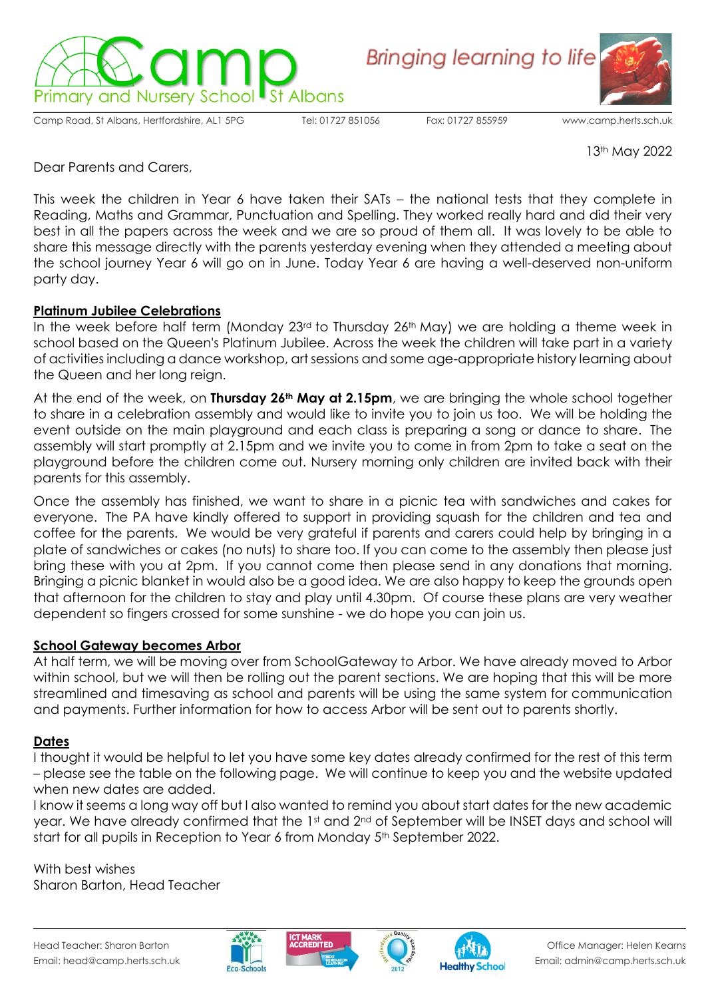

**Bringing learning to life** 

Camp Road, St Albans, Hertfordshire, AL1 5PG Tel: 01727 851056 Fax: 01727 855959 [www.camp.herts.sch.uk](about:blank)



13th May 2022

Dear Parents and Carers,

This week the children in Year 6 have taken their SATs – the national tests that they complete in Reading, Maths and Grammar, Punctuation and Spelling. They worked really hard and did their very best in all the papers across the week and we are so proud of them all. It was lovely to be able to share this message directly with the parents yesterday evening when they attended a meeting about the school journey Year 6 will go on in June. Today Year 6 are having a well-deserved non-uniform party day.

## **Platinum Jubilee Celebrations**

In the week before half term (Monday 23<sup>rd</sup> to Thursday 26<sup>th</sup> May) we are holding a theme week in school based on the Queen's Platinum Jubilee. Across the week the children will take part in a variety of activities including a dance workshop, art sessions and some age-appropriate history learning about the Queen and her long reign.

At the end of the week, on **Thursday 26th May at 2.15pm**, we are bringing the whole school together to share in a celebration assembly and would like to invite you to join us too. We will be holding the event outside on the main playground and each class is preparing a song or dance to share. The assembly will start promptly at 2.15pm and we invite you to come in from 2pm to take a seat on the playground before the children come out. Nursery morning only children are invited back with their parents for this assembly.

Once the assembly has finished, we want to share in a picnic tea with sandwiches and cakes for everyone. The PA have kindly offered to support in providing squash for the children and tea and coffee for the parents. We would be very grateful if parents and carers could help by bringing in a plate of sandwiches or cakes (no nuts) to share too. If you can come to the assembly then please just bring these with you at 2pm. If you cannot come then please send in any donations that morning. Bringing a picnic blanket in would also be a good idea. We are also happy to keep the grounds open that afternoon for the children to stay and play until 4.30pm. Of course these plans are very weather dependent so fingers crossed for some sunshine - we do hope you can join us.

## **School Gateway becomes Arbor**

At half term, we will be moving over from SchoolGateway to Arbor. We have already moved to Arbor within school, but we will then be rolling out the parent sections. We are hoping that this will be more streamlined and timesaving as school and parents will be using the same system for communication and payments. Further information for how to access Arbor will be sent out to parents shortly.

## **Dates**

I thought it would be helpful to let you have some key dates already confirmed for the rest of this term – please see the table on the following page. We will continue to keep you and the website updated when new dates are added.

I know it seems a long way off but I also wanted to remind you about start dates for the new academic year. We have already confirmed that the 1st and 2<sup>nd</sup> of September will be INSET days and school will start for all pupils in Reception to Year 6 from Monday 5<sup>th</sup> September 2022.

With best wishes Sharon Barton, Head Teacher